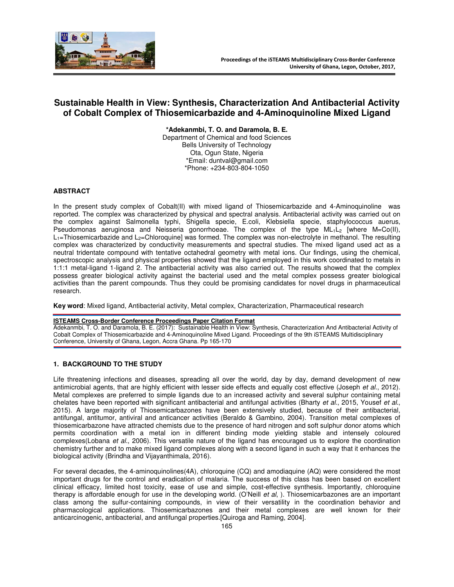

# **Sustainable Health in View: Synthesis, Characterization And Antibacterial Activity of Cobalt Complex of Thiosemicarbazide and 4-Aminoquinoline Mixed Ligand**

**\*Adekanmbi, T. O. and Daramola, B. E.** Department of Chemical and food Sciences Bells University of Technology Ota, Ogun State, Nigeria \*Email: duntval@gmail.com \*Phone: +234-803-804-1050

### **ABSTRACT**

In the present study complex of Cobalt(II) with mixed ligand of Thiosemicarbazide and 4-Aminoquinoline was reported. The complex was characterized by physical and spectral analysis. Antibacterial activity was carried out on the complex against Salmonella typhi, Shigella specie, E.coli, Klebsiella specie, staphylococcus auerus, Pseudomonas aeruginosa and Neisseria gonorrhoeae. The complex of the type  $ML_1L_2$  [where M=Co(II),  $L_1$ =Thiosemicarbazide and  $L_2$ =Chloroquine] was formed. The complex was non-electrolyte in methanol. The resulting complex was characterized by conductivity measurements and spectral studies. The mixed ligand used act as a neutral tridentate compound with tentative octahedral geometry with metal ions. Our findings, using the chemical, spectroscopic analysis and physical properties showed that the ligand employed in this work coordinated to metals in 1:1:1 metal-ligand 1-ligand 2. The antibacterial activity was also carried out. The results showed that the complex possess greater biological activity against the bacterial used and the metal complex possess greater biological activities than the parent compounds. Thus they could be promising candidates for novel drugs in pharmaceutical research.

**Key word**: Mixed ligand, Antibacterial activity, Metal complex, Characterization, Pharmaceutical research

#### **ISTEAMS Cross-Border Conference Proceedings Paper Citation Format**

Adekanmbi, T. O. and Daramola, B. E. (2017): Sustainable Health in View: Synthesis, Characterization And Antibacterial Activity of Cobalt Complex of Thiosemicarbazide and 4-Aminoquinoline Mixed Ligand. Proceedings of the 9th iSTEAMS Multidisciplinary Conference, University of Ghana, Legon, Accra Ghana. Pp 165-170

# **1. BACKGROUND TO THE STUDY**

Life threatening infections and diseases, spreading all over the world, day by day, demand development of new antimicrobial agents, that are highly efficient with lesser side effects and equally cost effective (Joseph *et al*., 2012). Metal complexes are preferred to simple ligands due to an increased activity and several sulphur containing metal chelates have been reported with significant antibacterial and antifungal activities (Bharty *et al*., 2015, Yousef *et al*., 2015). A large majority of Thiosemicarbazones have been extensively studied, because of their antibacterial, antifungal, antitumor, antiviral and anticancer activities (Beraldo & Gambino, 2004). Transition metal complexes of thiosemicarbazone have attracted chemists due to the presence of hard nitrogen and soft sulphur donor atoms which permits coordination with a metal ion in different binding mode yielding stable and intensely coloured complexes(Lobana *et al*., 2006). This versatile nature of the ligand has encouraged us to explore the coordination chemistry further and to make mixed ligand complexes along with a second ligand in such a way that it enhances the biological activity (Brindha and Vijayanthimala, 2016).

For several decades, the 4-aminoquinolines(4A), chloroquine (CQ) and amodiaquine (AQ) were considered the most important drugs for the control and eradication of malaria. The success of this class has been based on excellent clinical efficacy, limited host toxicity, ease of use and simple, cost-effective synthesis. Importantly, chloroquine therapy is affordable enough for use in the developing world. (O'Neill *et al*, ). Thiosemicarbazones are an important class among the sulfur-containing compounds, in view of their versatility in the coordination behavior and pharmacological applications. Thiosemicarbazones and their metal complexes are well known for their anticarcinogenic, antibacterial, and antifungal properties.[Quiroga and Raming, 2004].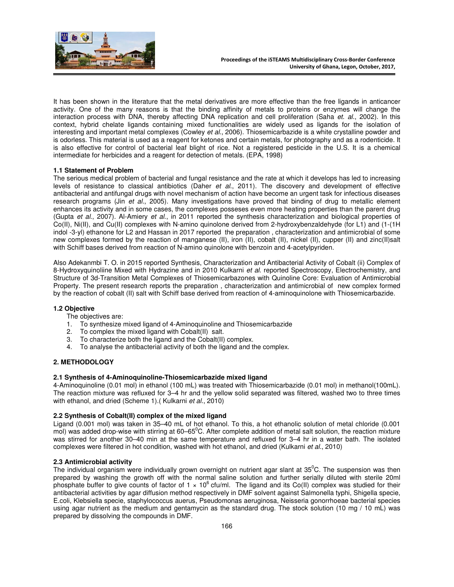

It has been shown in the literature that the metal derivatives are more effective than the free ligands in anticancer activity. One of the many reasons is that the binding affinity of metals to proteins or enzymes will change the interaction process with DNA, thereby affecting DNA replication and cell proliferation (Saha *et. al*., 2002). In this context, hybrid chelate ligands containing mixed functionalities are widely used as ligands for the isolation of interesting and important metal complexes (Cowley *et al*., 2006). Thiosemicarbazide is a white crystalline powder and is odorless. This material is used as a reagent for ketones and certain metals, for photography and as a rodenticide. It is also effective for control of bacterial leaf blight of rice. Not a registered pesticide in the U.S. It is a chemical intermediate for herbicides and a reagent for detection of metals. (EPA, 1998)

### **1.1 Statement of Problem**

The serious medical problem of bacterial and fungal resistance and the rate at which it develops has led to increasing levels of resistance to classical antibiotics (Daher *et al*., 2011). The discovery and development of effective antibacterial and antifungal drugs with novel mechanism of action have become an urgent task for infectious diseases research programs (Jin *et al*., 2005). Many investigations have proved that binding of drug to metallic element enhances its activity and in some cases, the complexes posseses even more heating properties than the parent drug (Gupta *et al*., 2007). Al-Amiery *et al*., in 2011 reported the synthesis characterization and biological properties of Co(II), Ni(II), and Cu(II) complexes with N-amino quinolone derived from 2-hydroxybenzaldehyde (for L1) and (1-(1H indol -3-yl) ethanone for L2 and Hassan in 2017 reported the preparation , characterization and antimicrobial of some new complexes formed by the reaction of manganese (II), iron (II), cobalt (II), nickel (II), cupper (II) and zinc(II)salt with Schiff bases derived from reaction of N-amino quinolone with benzoin and 4-acetylpyriden.

Also Adekanmbi T. O. in 2015 reported Synthesis, Characterization and Antibacterial Activity of Cobalt (ii) Complex of 8-Hydroxyquinoliine Mixed with Hydrazine and in 2010 Kulkarni *et al*. reported Spectroscopy, Electrochemistry, and Structure of 3d-Transition Metal Complexes of Thiosemicarbazones with Quinoline Core: Evaluation of Antimicrobial Property. The present research reports the preparation , characterization and antimicrobial of new complex formed by the reaction of cobalt (II) salt with Schiff base derived from reaction of 4-aminoquinolone with Thiosemicarbazide.

#### **1.2 Objective**

The objectives are:

- 1. To synthesize mixed ligand of 4-Aminoquinoline and Thiosemicarbazide
- 2. To complex the mixed ligand with Cobalt(II) salt.
- 3. To characterize both the ligand and the Cobalt(II) complex.
- 4. To analyse the antibacterial activity of both the ligand and the complex.

# **2. METHODOLOGY**

#### **2.1 Synthesis of 4-Aminoquinoline-Thiosemicarbazide mixed ligand**

4-Aminoquinoline (0.01 mol) in ethanol (100 mL) was treated with Thiosemicarbazide (0.01 mol) in methanol(100mL). The reaction mixture was refluxed for 3–4 hr and the yellow solid separated was filtered, washed two to three times with ethanol, and dried (Scheme 1).( Kulkarni *et al*., 2010)

# **2.2 Synthesis of Cobalt(II) complex of the mixed ligand**

Ligand (0.001 mol) was taken in 35–40 mL of hot ethanol. To this, a hot ethanolic solution of metal chloride (0.001 mol) was added drop-wise with stirring at  $60-65^{\circ}$ C. After complete addition of metal salt solution, the reaction mixture was stirred for another 30–40 min at the same temperature and refluxed for 3–4 hr in a water bath. The isolated complexes were filtered in hot condition, washed with hot ethanol, and dried (Kulkarni *et al*., 2010)

#### **2.3 Antimicrobial activity**

The individual organism were individually grown overnight on nutrient agar slant at  $35^{\circ}$ C. The suspension was then prepared by washing the growth off with the normal saline solution and further serially diluted with sterile 20ml phosphate buffer to give counts of factor of  $1 \times 10^6$  cfu/ml. The ligand and its Co(II) complex was studied for their antibacterial activities by agar diffusion method respectively in DMF solvent against Salmonella typhi, Shigella specie, E.coli, Klebsiella specie, staphylococcus auerus, Pseudomonas aeruginosa, Neisseria gonorrhoeae bacterial species using agar nutrient as the medium and gentamycin as the standard drug. The stock solution (10 mg / 10 mL) was prepared by dissolving the compounds in DMF.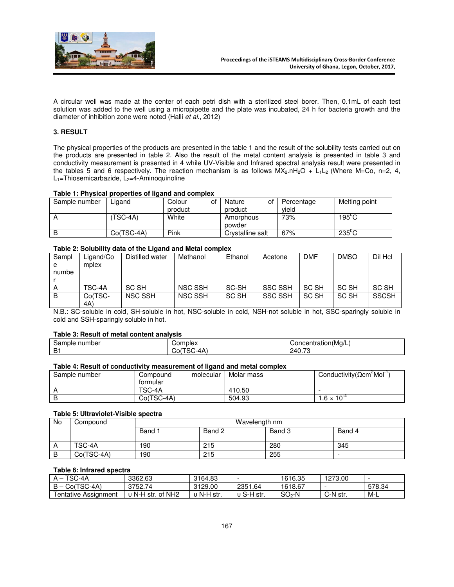

A circular well was made at the center of each petri dish with a sterilized steel borer. Then, 0.1mL of each test solution was added to the well using a micropipette and the plate was incubated, 24 h for bacteria growth and the diameter of inhibition zone were noted (Halli *et al*., 2012)

# **3. RESULT**

The physical properties of the products are presented in the table 1 and the result of the solubility tests carried out on the products are presented in table 2. Also the result of the metal content analysis is presented in table 3 and conductivity measurement is presented in 4 while UV-Visible and Infrared spectral analysis result were presented in the tables 5 and 6 respectively. The reaction mechanism is as follows  $MX_2.nH_2O + L_1L_2$  (Where M=Co, n=2, 4,  $L_1$ =Thiosemicarbazide,  $L_2$ =4-Aminoquinoline

#### **Table 1: Physical properties of ligand and complex**

| Sample number | Ligand     | Colour<br>product | οt | of<br>Nature<br>product | Percentage<br>vield | Melting point   |
|---------------|------------|-------------------|----|-------------------------|---------------------|-----------------|
|               | TSC-4A)    | White             |    | Amorphous<br>powder     | 73%                 | $195^{\circ}$ C |
|               | Co(TSC-4A) | Pink              |    | Crystalline salt        | 67%                 | $235^{\circ}$ C |

### **Table 2: Solubility data of the Ligand and Metal complex**

| Sampl | Ligand/Co | Distilled water | Methanol       | Ethanol | Acetone        | <b>DMF</b> | <b>DMSO</b> | Dil Hcl      |
|-------|-----------|-----------------|----------------|---------|----------------|------------|-------------|--------------|
| e     | mplex     |                 |                |         |                |            |             |              |
| numbe |           |                 |                |         |                |            |             |              |
|       |           |                 |                |         |                |            |             |              |
| A     | TSC-4A    | SC SH           | NSC SSH        | SC-SH   | <b>SSC SSH</b> | SC SH      | SC SH       | SC SH        |
| B     | Co(TSC-   | <b>NSC SSH</b>  | <b>NSC SSH</b> | SC SH   | <b>SSC SSH</b> | SC SH      | SC SH       | <b>SSCSH</b> |
|       | 4A)       |                 |                |         |                |            |             |              |

N.B.: SC-soluble in cold, SH-soluble in hot, NSC-soluble in cold, NSH-not soluble in hot, SSC-sparingly soluble in cold and SSH-sparingly soluble in hot.

#### **Table 3: Result of metal content analysis**

| -<br>number<br>Sample | こomplex                  | $\cdots$<br>Concentration(Mg/L)    |
|-----------------------|--------------------------|------------------------------------|
| n.<br>. .<br>-        | `-4А<br>.<br>' ا0ٽ<br>১∪ | $\overline{\phantom{a}}$<br>240.73 |

### **Table 4: Result of conductivity measurement of ligand and metal complex**

| Sample number | molecular<br>Compound<br>tormular | Molar mass | Conductivity ( $\Omega$ cm <sup>2</sup> Mol <sup>-1</sup> |
|---------------|-----------------------------------|------------|-----------------------------------------------------------|
|               | TSC-4A                            | 410.50     |                                                           |
|               | Co(TSC-4A)                        | 504.93     | $.6 \times 10^{-7}$                                       |

#### **Table 5: Ultraviolet-Visible spectra**

| <b>No</b> | Compound     | Wavelength nm |        |        |        |  |  |
|-----------|--------------|---------------|--------|--------|--------|--|--|
|           |              | Band 1        | Band 2 | Band 3 | Band 4 |  |  |
|           | TSC-4A       | 190           | 215    | 280    | 345    |  |  |
| ∍         | $Co(TSC-4A)$ | 190           | 215    | 255    |        |  |  |

### **Table 6: Infrared spectra**

| TSC-4A               | 3362.63           | 3164.83  |            | 1616.35 | 1273.00  |        |
|----------------------|-------------------|----------|------------|---------|----------|--------|
| $B - Co(TSC-4A)$     | 3752.74           | 3129.00  | 2351.64    | 1618.67 |          | 578.34 |
| Fentative Assignment | υ N-H str. of NH2 | N-H str. | ∪ S-H str. | $SO2-N$ | C-N str. | M-L    |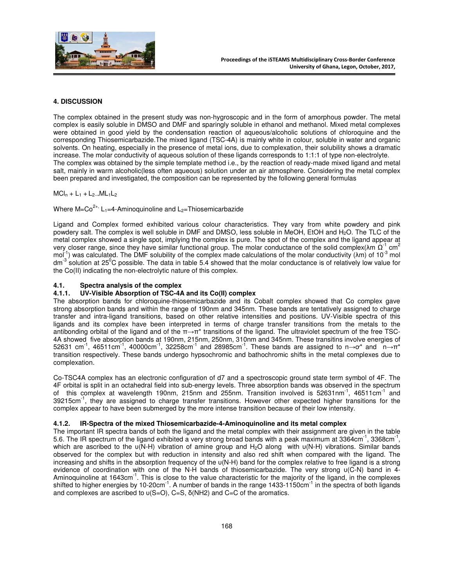

# **4. DISCUSSION**

The complex obtained in the present study was non-hygroscopic and in the form of amorphous powder. The metal complex is easily soluble in DMSO and DMF and sparingly soluble in ethanol and methanol. Mixed metal complexes were obtained in good yield by the condensation reaction of aqueous/alcoholic solutions of chloroquine and the corresponding Thiosemicarbazide.The mixed ligand (TSC-4A) is mainly white in colour, soluble in water and organic solvents. On heating, especially in the presence of metal ions, due to complexation, their solubility shows a dramatic increase. The molar conductivity of aqueous solution of these ligands corresponds to 1:1:1 of type non-electrolyte. The complex was obtained by the simple template method i.e., by the reaction of ready-made mixed ligand and metal salt, mainly in warm alcoholic(less often aqueous) solution under an air atmosphere. Considering the metal complex been prepared and investigated, the composition can be represented by the following general formulas

 $MCI_n + L_1 + L_2$   $ML_1L_2$ 

Where  $M=C_0^{2+}$ , L<sub>1</sub>=4-Aminoquinoline and L<sub>2</sub>=Thiosemicarbazide

Ligand and Complex formed exhibited various colour characteristics. They vary from white powdery and pink powdery salt. The complex is well soluble in DMF and DMSO, less soluble in MeOH, EtOH and H<sub>2</sub>O. The TLC of the metal complex showed a single spot, implying the complex is pure. The spot of the complex and the ligand appear at very closer range, since they have similar functional group. The molar conductance of the solid complex( $\lambda$ m  $\Omega^{-1}$  cm<sup>2</sup> mol<sup>-1</sup>) was calculated. The DMF solubility of the complex made calculations of the molar conductivity ( $\lambda$ m) of 10<sup>-3</sup> mol dm $3$  solution at 25<sup>0</sup>C possible. The data in table 5.4 showed that the molar conductance is of relatively low value for the Co(II) indicating the non-electrolytic nature of this complex.

# **4.1. Spectra analysis of the complex**

### **4.1.1. UV-Visible Absorption of TSC-4A and its Co(II) complex**

The absorption bands for chloroquine-thiosemicarbazide and its Cobalt complex showed that Co complex gave strong absorption bands and within the range of 190nm and 345nm. These bands are tentatively assigned to charge transfer and intra-ligand transitions, based on other relative intensities and positions. UV-Visible spectra of this ligands and its complex have been interpreted in terms of charge transfer transitions from the metals to the antibonding orbital of the ligand and of the π→π\* transitions of the ligand. The ultraviolet spectrum of the free TSC-4A showed five absorption bands at 190nm, 215nm, 250nm, 310nm and 345nm. These transitins involve energies of 52631 cm<sup>-1</sup>, 46511cm<sup>-1</sup>, 40000cm<sup>-1</sup>, 32258cm<sup>-1</sup> and 28985cm<sup>-1</sup>. These bands are assigned to n→o<sup>\*</sup> and n→π<sup>\*</sup> transition respectively. These bands undergo hypsochromic and bathochromic shifts in the metal complexes due to complexation.

Co-TSC4A complex has an electronic configuration of d7 and a spectroscopic ground state term symbol of 4F. The 4F orbital is split in an octahedral field into sub-energy levels. Three absorption bands was observed in the spectrum of this complex at wavelength 190nm, 215nm and 255nm. Transition involved is 52631nm<sup>-1</sup>, 46511cm<sup>-1</sup> and 39215cm<sup>-1</sup>, they are assigned to charge transfer transitions. However other expected higher transitions for the complex appear to have been submerged by the more intense transition because of their low intensity.

# **4.1.2. IR-Spectra of the mixed Thiosemicarbazide-4-Aminoquinoline and its metal complex**

The important IR spectra bands of both the ligand and the metal complex with their assignment are given in the table 5.6. The IR spectrum of the ligand exhibited a very strong broad bands with a peak maximum at 3364cm $^{-1}$ , 3368cm $^{-1}$ , which are ascribed to the υ(N-H) vibration of amine group and H<sub>2</sub>O along with υ(N-H) vibrations. Similar bands observed for the complex but with reduction in intensity and also red shift when compared with the ligand. The increasing and shifts in the absorption frequency of the υ(N-H) band for the complex relative to free ligand is a strong evidence of coordination with one of the N-H bands of thiosemicarbazide. The very strong υ(C-N) band in 4- Aminoquinoline at 1643cm<sup>-1</sup>. This is close to the value characteristic for the majority of the ligand, in the complexes shifted to higher energies by 10-20cm<sup>-1</sup>. A number of bands in the range 1433-1150cm<sup>-1</sup> in the spectra of both ligands and complexes are ascribed to  $u(S=O)$ , C=S,  $\delta(NH2)$  and C=C of the aromatics.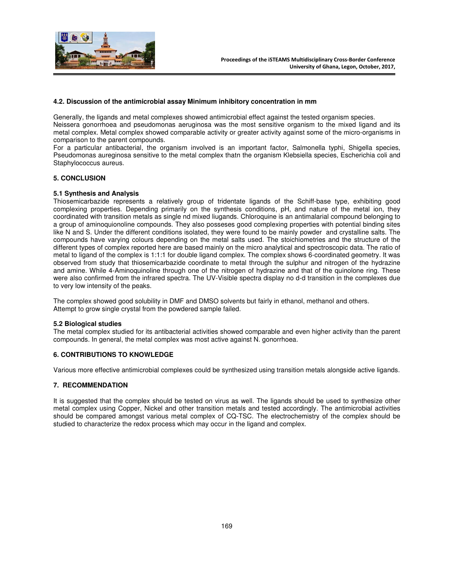

### **4.2. Discussion of the antimicrobial assay Minimum inhibitory concentration in mm**

Generally, the ligands and metal complexes showed antimicrobial effect against the tested organism species. Neissera gonorrhoea and pseudomonas aeruginosa was the most sensitive organism to the mixed ligand and its metal complex. Metal complex showed comparable activity or greater activity against some of the micro-organisms in comparison to the parent compounds.

For a particular antibacterial, the organism involved is an important factor, Salmonella typhi, Shigella species, Pseudomonas aureginosa sensitive to the metal complex thatn the organism Klebsiella species, Escherichia coli and Staphylococcus aureus.

# **5. CONCLUSION**

# **5.1 Synthesis and Analysis**

Thiosemicarbazide represents a relatively group of tridentate ligands of the Schiff-base type, exhibiting good complexing properties. Depending primarily on the synthesis conditions, pH, and nature of the metal ion, they coordinated with transition metals as single nd mixed liugands. Chloroquine is an antimalarial compound belonging to a group of aminoquionoline compounds. They also posseses good complexing properties with potential binding sites like N and S. Under the different conditions isolated, they were found to be mainly powder and crystalline salts. The compounds have varying colours depending on the metal salts used. The stoichiometries and the structure of the different types of complex reported here are based mainly on the micro analytical and spectroscopic data. The ratio of metal to ligand of the complex is 1:1:1 for double ligand complex. The complex shows 6-coordinated geometry. It was observed from study that thiosemicarbazide coordinate to metal through the sulphur and nitrogen of the hydrazine and amine. While 4-Aminoquinoline through one of the nitrogen of hydrazine and that of the quinolone ring. These were also confirmed from the infrared spectra. The UV-Visible spectra display no d-d transition in the complexes due to very low intensity of the peaks.

The complex showed good solubility in DMF and DMSO solvents but fairly in ethanol, methanol and others. Attempt to grow single crystal from the powdered sample failed.

#### **5.2 Biological studies**

The metal complex studied for its antibacterial activities showed comparable and even higher activity than the parent compounds. In general, the metal complex was most active against N. gonorrhoea.

# **6. CONTRIBUTIONS TO KNOWLEDGE**

Various more effective antimicrobial complexes could be synthesized using transition metals alongside active ligands.

# **7. RECOMMENDATION**

It is suggested that the complex should be tested on virus as well. The ligands should be used to synthesize other metal complex using Copper, Nickel and other transition metals and tested accordingly. The antimicrobial activities should be compared amongst various metal complex of CQ-TSC. The electrochemistry of the complex should be studied to characterize the redox process which may occur in the ligand and complex.